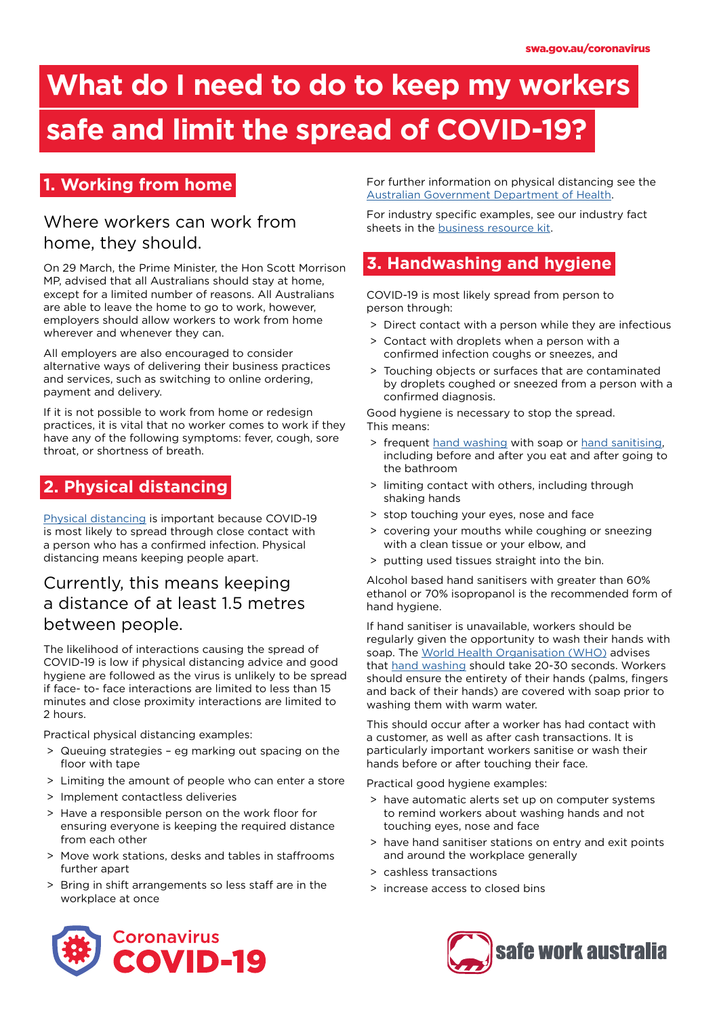# **What do I need to do to keep my workers**

### **safe and limit the spread of COVID-19?**

### **1. Working from home**

### Where workers can work from home, they should.

On 29 March, the Prime Minister, the Hon Scott Morrison MP, advised that all Australians should stay at home, except for a limited number of reasons. All Australians are able to leave the home to go to work, however, employers should allow workers to work from home wherever and whenever they can.

All employers are also encouraged to consider alternative ways of delivering their business practices and services, such as switching to online ordering, payment and delivery.

If it is not possible to work from home or redesign practices, it is vital that no worker comes to work if they have any of the following symptoms: fever, cough, sore throat, or shortness of breath.

### **2. Physical distancing**

[Physical distancing](https://www.health.gov.au/news/health-alerts/novel-coronavirus-2019-ncov-health-alert/how-to-protect-yourself-and-others-from-coronavirus-covid-19/social-distancing-for-coronavirus-covid-19) is important because COVID-19 is most likely to spread through close contact with a person who has a confirmed infection. Physical distancing means keeping people apart.

### Currently, this means keeping a distance of at least 1.5 metres between people.

The likelihood of interactions causing the spread of COVID-19 is low if physical distancing advice and good hygiene are followed as the virus is unlikely to be spread if face- to- face interactions are limited to less than 15 minutes and close proximity interactions are limited to 2 hours.

Practical physical distancing examples:

- > Queuing strategies eg marking out spacing on the floor with tape
- > Limiting the amount of people who can enter a store
- > Implement contactless deliveries
- > Have a responsible person on the work floor for ensuring everyone is keeping the required distance from each other
- > Move work stations, desks and tables in staffrooms further apart
- > Bring in shift arrangements so less staff are in the workplace at once

For further information on physical distancing see the [Australian Government Department of Health](https://www.health.gov.au/news/health-alerts/novel-coronavirus-2019-ncov-health-alert/how-to-protect-yourself-and-others-from-coronavirus-covid-19/social-distancing-for-coronavirus-covid-19).

For industry specific examples, see our industry fact sheets in the [business resource kit.](https://www.safeworkaustralia.gov.au/collection/business-resource-kit-covid-19)

### **3. Handwashing and hygiene**

COVID-19 is most likely spread from person to person through:

- > Direct contact with a person while they are infectious
- > Contact with droplets when a person with a confirmed infection coughs or sneezes, and
- > Touching objects or surfaces that are contaminated by droplets coughed or sneezed from a person with a confirmed diagnosis.

Good hygiene is necessary to stop the spread. This means:

- > frequent [hand washing](https://www.who.int/gpsc/5may/How_To_HandWash_Poster.pdf?ua=1) with soap or [hand sanitising](https://www.who.int/gpsc/5may/How_To_HandRub_Poster.pdf), including before and after you eat and after going to the bathroom
- > limiting contact with others, including through shaking hands
- > stop touching your eyes, nose and face
- > covering your mouths while coughing or sneezing with a clean tissue or your elbow, and
- > putting used tissues straight into the bin.

Alcohol based hand sanitisers with greater than 60% ethanol or 70% isopropanol is the recommended form of hand hygiene.

If hand sanitiser is unavailable, workers should be regularly given the opportunity to wash their hands with soap. The [World Health Organisation \(WHO\)](https://www.who.int/gpsc/clean_hands_protection/en/) advises that [hand washing](https://www.who.int/gpsc/5may/How_To_HandWash_Poster.pdf?ua=1) should take 20-30 seconds. Workers should ensure the entirety of their hands (palms, fingers and back of their hands) are covered with soap prior to washing them with warm water.

This should occur after a worker has had contact with a customer, as well as after cash transactions. It is particularly important workers sanitise or wash their hands before or after touching their face.

Practical good hygiene examples:

- > have automatic alerts set up on computer systems to remind workers about washing hands and not touching eyes, nose and face
- > have hand sanitiser stations on entry and exit points and around the workplace generally
- > cashless transactions
- > increase access to closed bins